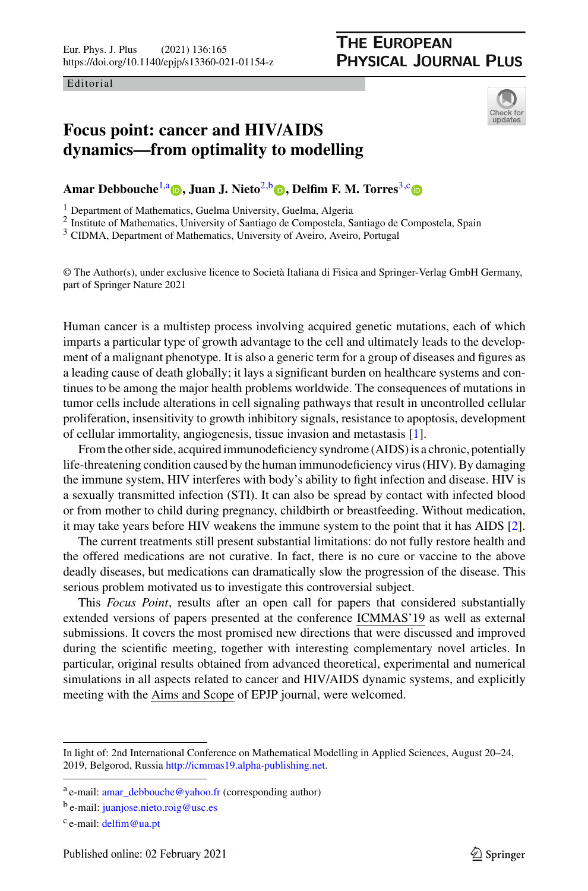Editorial

## <span id="page-0-0"></span>**THE EUROPEAN PHYSICAL JOURNAL PLUS**

<span id="page-0-1"></span>

## **Focus point: cancer and HIV/AIDS dynamics—from optimality to modelling**

**Am[a](https://orcid.org/0000-0003-4321-9515)r Debbou[c](https://orcid.org/0000-0001-8641-2505)he**<sup>[1,](#page-0-0)a</sup> **p**, Juan J. Nieto<sup>[2,](#page-0-0)b</sup> **p**[,](https://orcid.org/0000-0001-8202-6578) Delfim F. M. Torres<sup>[3,](#page-0-1)c</sup> **p** 

<sup>1</sup> Department of Mathematics, Guelma University, Guelma, Algeria

<sup>2</sup> Institute of Mathematics, University of Santiago de Compostela, Santiago de Compostela, Spain

<sup>3</sup> CIDMA, Department of Mathematics, University of Aveiro, Aveiro, Portugal

© The Author(s), under exclusive licence to Società Italiana di Fisica and Springer-Verlag GmbH Germany, part of Springer Nature 2021

Human cancer is a multistep process involving acquired genetic mutations, each of which imparts a particular type of growth advantage to the cell and ultimately leads to the development of a malignant phenotype. It is also a generic term for a group of diseases and figures as a leading cause of death globally; it lays a significant burden on healthcare systems and continues to be among the major health problems worldwide. The consequences of mutations in tumor cells include alterations in cell signaling pathways that result in uncontrolled cellular proliferation, insensitivity to growth inhibitory signals, resistance to apoptosis, development of cellular immortality, angiogenesis, tissue invasion and metastasis [\[1\]](#page-2-0).

From the other side, acquired immunodeficiency syndrome (AIDS) is a chronic, potentially life-threatening condition caused by the human immunodeficiency virus (HIV). By damaging the immune system, HIV interferes with body's ability to fight infection and disease. HIV is a sexually transmitted infection (STI). It can also be spread by contact with infected blood or from mother to child during pregnancy, childbirth or breastfeeding. Without medication, it may take years before HIV weakens the immune system to the point that it has AIDS [\[2\]](#page-2-1).

The current treatments still present substantial limitations: do not fully restore health and the offered medications are not curative. In fact, there is no cure or vaccine to the above deadly diseases, but medications can dramatically slow the progression of the disease. This serious problem motivated us to investigate this controversial subject.

This *Focus Point*, results after an open call for papers that considered substantially extended versions of papers presented at the conference ICMMAS'19 as well as external submissions. It covers the most promised new directions that were discussed and improved during the scientific meeting, together with interesting complementary novel articles. In particular, original results obtained from advanced theoretical, experimental and numerical simulations in all aspects related to cancer and HIV/AIDS dynamic systems, and explicitly meeting with the Aims and Scope of EPJP journal, were welcomed.

In light of: 2nd International Conference on Mathematical Modelling in Applied Sciences, August 20–24, 2019, Belgorod, Russia [http://icmmas19.alpha-publishing.net.](http://icmmas19.alpha-publishing.net)

<sup>a</sup> e-mail: [amar\\_debbouche@yahoo.fr](mailto:amar_debbouche@yahoo.fr) (corresponding author)

<sup>b</sup> e-mail: [juanjose.nieto.roig@usc.es](mailto:juanjose.nieto.roig@usc.es)

c e-mail: [delfim@ua.pt](mailto:delfim@ua.pt)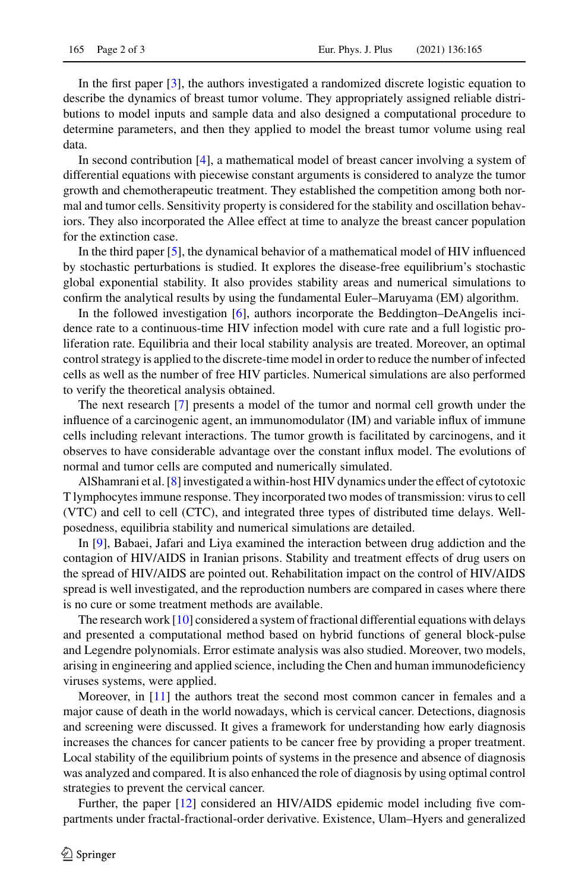In the first paper [\[3\]](#page-2-2), the authors investigated a randomized discrete logistic equation to describe the dynamics of breast tumor volume. They appropriately assigned reliable distributions to model inputs and sample data and also designed a computational procedure to determine parameters, and then they applied to model the breast tumor volume using real data.

In second contribution [\[4\]](#page-2-3), a mathematical model of breast cancer involving a system of differential equations with piecewise constant arguments is considered to analyze the tumor growth and chemotherapeutic treatment. They established the competition among both normal and tumor cells. Sensitivity property is considered for the stability and oscillation behaviors. They also incorporated the Allee effect at time to analyze the breast cancer population for the extinction case.

In the third paper [\[5\]](#page-2-4), the dynamical behavior of a mathematical model of HIV influenced by stochastic perturbations is studied. It explores the disease-free equilibrium's stochastic global exponential stability. It also provides stability areas and numerical simulations to confirm the analytical results by using the fundamental Euler–Maruyama (EM) algorithm.

In the followed investigation [\[6\]](#page-2-5), authors incorporate the Beddington–DeAngelis incidence rate to a continuous-time HIV infection model with cure rate and a full logistic proliferation rate. Equilibria and their local stability analysis are treated. Moreover, an optimal control strategy is applied to the discrete-time model in order to reduce the number of infected cells as well as the number of free HIV particles. Numerical simulations are also performed to verify the theoretical analysis obtained.

The next research [\[7\]](#page-2-6) presents a model of the tumor and normal cell growth under the influence of a carcinogenic agent, an immunomodulator (IM) and variable influx of immune cells including relevant interactions. The tumor growth is facilitated by carcinogens, and it observes to have considerable advantage over the constant influx model. The evolutions of normal and tumor cells are computed and numerically simulated.

AlShamrani et al. [\[8\]](#page-2-7) investigated a within-host HIV dynamics under the effect of cytotoxic T lymphocytes immune response. They incorporated two modes of transmission: virus to cell (VTC) and cell to cell (CTC), and integrated three types of distributed time delays. Wellposedness, equilibria stability and numerical simulations are detailed.

In [\[9\]](#page-2-8), Babaei, Jafari and Liya examined the interaction between drug addiction and the contagion of HIV/AIDS in Iranian prisons. Stability and treatment effects of drug users on the spread of HIV/AIDS are pointed out. Rehabilitation impact on the control of HIV/AIDS spread is well investigated, and the reproduction numbers are compared in cases where there is no cure or some treatment methods are available.

The research work [\[10\]](#page-2-9) considered a system of fractional differential equations with delays and presented a computational method based on hybrid functions of general block-pulse and Legendre polynomials. Error estimate analysis was also studied. Moreover, two models, arising in engineering and applied science, including the Chen and human immunodeficiency viruses systems, were applied.

Moreover, in [\[11\]](#page-2-10) the authors treat the second most common cancer in females and a major cause of death in the world nowadays, which is cervical cancer. Detections, diagnosis and screening were discussed. It gives a framework for understanding how early diagnosis increases the chances for cancer patients to be cancer free by providing a proper treatment. Local stability of the equilibrium points of systems in the presence and absence of diagnosis was analyzed and compared. It is also enhanced the role of diagnosis by using optimal control strategies to prevent the cervical cancer.

Further, the paper [\[12\]](#page-2-11) considered an HIV/AIDS epidemic model including five compartments under fractal-fractional-order derivative. Existence, Ulam–Hyers and generalized